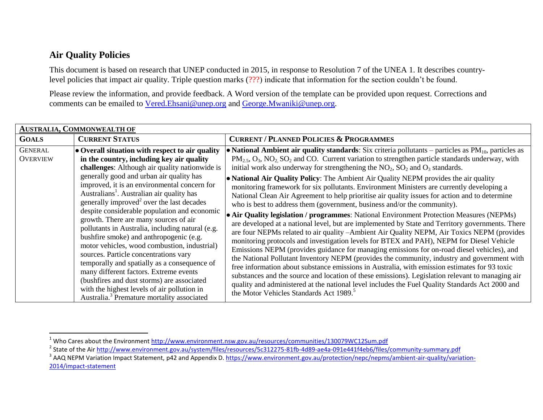## **Air Quality Policies**

 $\overline{a}$ 

This document is based on research that UNEP conducted in 2015, in response to Resolution 7 of the UNEA 1. It describes countrylevel policies that impact air quality. Triple question marks (???) indicate that information for the section couldn't be found.

Please review the information, and provide feedback. A Word version of the template can be provided upon request. Corrections and comments can be emailed to [Vered.Ehsani@unep.org](mailto:Vered.Ehsani@unep.org) and [George.Mwaniki@unep.org.](mailto:George.Mwaniki@unep.org)

| <b>AUSTRALIA, COMMONWEALTH OF</b> |                                                                                                                                                                                                                                                                                                                                                                                                                                                                                                                                                                                                                                                                                                                                                                                                                                                                                                |                                                                                                                                                                                                                                                                                                                                                                                                                                                                                                                                                                                                                                                                                                                                                                                                                                                                                                                                                                                                                                                                                                                                                                                                                                                                                                                                                                                                                                                                                                                                                                                                                                               |  |  |
|-----------------------------------|------------------------------------------------------------------------------------------------------------------------------------------------------------------------------------------------------------------------------------------------------------------------------------------------------------------------------------------------------------------------------------------------------------------------------------------------------------------------------------------------------------------------------------------------------------------------------------------------------------------------------------------------------------------------------------------------------------------------------------------------------------------------------------------------------------------------------------------------------------------------------------------------|-----------------------------------------------------------------------------------------------------------------------------------------------------------------------------------------------------------------------------------------------------------------------------------------------------------------------------------------------------------------------------------------------------------------------------------------------------------------------------------------------------------------------------------------------------------------------------------------------------------------------------------------------------------------------------------------------------------------------------------------------------------------------------------------------------------------------------------------------------------------------------------------------------------------------------------------------------------------------------------------------------------------------------------------------------------------------------------------------------------------------------------------------------------------------------------------------------------------------------------------------------------------------------------------------------------------------------------------------------------------------------------------------------------------------------------------------------------------------------------------------------------------------------------------------------------------------------------------------------------------------------------------------|--|--|
| <b>GOALS</b>                      | <b>CURRENT STATUS</b>                                                                                                                                                                                                                                                                                                                                                                                                                                                                                                                                                                                                                                                                                                                                                                                                                                                                          | <b>CURRENT / PLANNED POLICIES &amp; PROGRAMMES</b>                                                                                                                                                                                                                                                                                                                                                                                                                                                                                                                                                                                                                                                                                                                                                                                                                                                                                                                                                                                                                                                                                                                                                                                                                                                                                                                                                                                                                                                                                                                                                                                            |  |  |
| <b>GENERAL</b><br><b>OVERVIEW</b> | • Overall situation with respect to air quality<br>in the country, including key air quality<br>challenges: Although air quality nationwide is<br>generally good and urban air quality has<br>improved, it is an environmental concern for<br>Australians <sup>1</sup> . Australian air quality has<br>generally improved <sup>2</sup> over the last decades<br>despite considerable population and economic<br>growth. There are many sources of air<br>pollutants in Australia, including natural (e.g.<br>bushfire smoke) and anthropogenic (e.g.<br>motor vehicles, wood combustion, industrial)<br>sources. Particle concentrations vary<br>temporally and spatially as a consequence of<br>many different factors. Extreme events<br>(bushfires and dust storms) are associated<br>with the highest levels of air pollution in<br>Australia. <sup>3</sup> Premature mortality associated | • National Ambient air quality standards: Six criteria pollutants – particles as $PM_{10}$ , particles as<br>$PM_{2.5}$ , $O_3$ , $NO_2$ , $SO_2$ and CO. Current variation to strengthen particle standards underway, with<br>initial work also underway for strengthening the $NO_2$ , $SO_2$ and $O_3$ standards.<br>• National Air Quality Policy: The Ambient Air Quality NEPM provides the air quality<br>monitoring framework for six pollutants. Environment Ministers are currently developing a<br>National Clean Air Agreement to help prioritise air quality issues for action and to determine<br>who is best to address them (government, business and/or the community).<br>• Air Quality legislation / programmes: National Environment Protection Measures (NEPMs)<br>are developed at a national level, but are implemented by State and Territory governments. There<br>are four NEPMs related to air quality -Ambient Air Quality NEPM, Air Toxics NEPM (provides<br>monitoring protocols and investigation levels for BTEX and PAH), NEPM for Diesel Vehicle<br>Emissions NEPM (provides guidance for managing emissions for on-road diesel vehicles), and<br>the National Pollutant Inventory NEPM (provides the community, industry and government with<br>free information about substance emissions in Australia, with emission estimates for 93 toxic<br>substances and the source and location of these emissions). Legislation relevant to managing air<br>quality and administered at the national level includes the Fuel Quality Standards Act 2000 and<br>the Motor Vehicles Standards Act 1989. <sup>5</sup> |  |  |

<sup>&</sup>lt;sup>1</sup> Who Cares about the Environment <u>http://www.environment.nsw.gov.au/resources/communities/130079WC12Sum.pdf</u>

<sup>&</sup>lt;sup>2</sup> State of the Air <u>http://www.environment.gov.au/system/files/resources/5c312275-81fb-4d89-ae4a-091e441f4eb6/files/community-summary.pdf</u>

<sup>&</sup>lt;sup>3</sup> AAQ NEPM Variation Impact Statement, p42 and Appendix D[. https://www.environment.gov.au/protection/nepc/nepms/ambient-air-quality/variation-](https://www.environment.gov.au/protection/nepc/nepms/ambient-air-quality/variation-2014/impact-statement)[2014/impact-statement](https://www.environment.gov.au/protection/nepc/nepms/ambient-air-quality/variation-2014/impact-statement)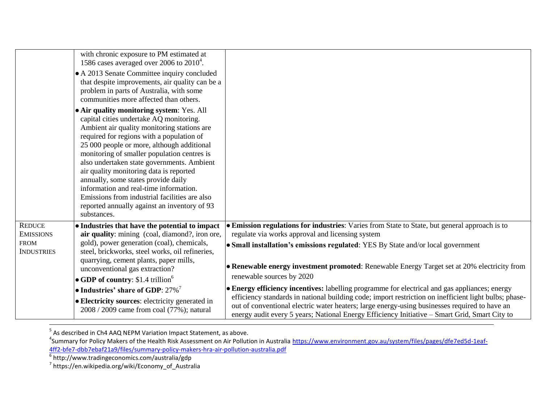|                                                                       | with chronic exposure to PM estimated at                                                                                                                                                                                                                                                                                                                                                                                                                                                                                                                                |                                                                                                                                                                                                                                                                                                                                                                                                                                       |
|-----------------------------------------------------------------------|-------------------------------------------------------------------------------------------------------------------------------------------------------------------------------------------------------------------------------------------------------------------------------------------------------------------------------------------------------------------------------------------------------------------------------------------------------------------------------------------------------------------------------------------------------------------------|---------------------------------------------------------------------------------------------------------------------------------------------------------------------------------------------------------------------------------------------------------------------------------------------------------------------------------------------------------------------------------------------------------------------------------------|
|                                                                       | 1586 cases averaged over 2006 to $2010^4$ .<br>• A 2013 Senate Committee inquiry concluded<br>that despite improvements, air quality can be a<br>problem in parts of Australia, with some<br>communities more affected than others.                                                                                                                                                                                                                                                                                                                                     |                                                                                                                                                                                                                                                                                                                                                                                                                                       |
|                                                                       | • Air quality monitoring system: Yes. All<br>capital cities undertake AQ monitoring.<br>Ambient air quality monitoring stations are<br>required for regions with a population of<br>25 000 people or more, although additional<br>monitoring of smaller population centres is<br>also undertaken state governments. Ambient<br>air quality monitoring data is reported<br>annually, some states provide daily<br>information and real-time information.<br>Emissions from industrial facilities are also<br>reported annually against an inventory of 93<br>substances. |                                                                                                                                                                                                                                                                                                                                                                                                                                       |
| <b>REDUCE</b><br><b>EMISSIONS</b><br><b>FROM</b><br><b>INDUSTRIES</b> | • Industries that have the potential to impact<br>air quality: mining (coal, diamond?, iron ore,<br>gold), power generation (coal), chemicals,<br>steel, brickworks, steel works, oil refineries,<br>quarrying, cement plants, paper mills,<br>unconventional gas extraction?                                                                                                                                                                                                                                                                                           | • Emission regulations for industries: Varies from State to State, but general approach is to<br>regulate via works approval and licensing system<br>• Small installation's emissions regulated: YES By State and/or local government<br>• Renewable energy investment promoted: Renewable Energy Target set at 20% electricity from                                                                                                  |
|                                                                       | • GDP of country: $$1.4$ trillion <sup>6</sup><br>• Industries' share of GDP: $27\%$ <sup>7</sup><br>• Electricity sources: electricity generated in<br>2008 / 2009 came from coal (77%); natural                                                                                                                                                                                                                                                                                                                                                                       | renewable sources by 2020<br>• Energy efficiency incentives: labelling programme for electrical and gas appliances; energy<br>efficiency standards in national building code; import restriction on inefficient light bulbs; phase-<br>out of conventional electric water heaters; large energy-using businesses required to have an<br>energy audit every 5 years; National Energy Efficiency Initiative – Smart Grid, Smart City to |

<sup>5</sup> As described in Ch4 AAQ NEPM Variation Impact Statement, as above.

<sup>4</sup>Summary for Policy Makers of the Health Risk Assessment on Air Pollution in Australia <u>https://www.environment.gov.au/system/files/pages/dfe7ed5d-1eaf-</u> <u>[4ff2-bfe7-dbb7ebaf21a9/files/summary-policy-makers-hra-air-pollution-australia.pdf](https://www.environment.gov.au/system/files/pages/dfe7ed5d-1eaf-4ff2-bfe7-dbb7ebaf21a9/files/summary-policy-makers-hra-air-pollution-australia.pdf)</u><br><sup>6</sup> http://www.tradingeconomics.com/australia/gdp<br><sup>7</sup> https://en.wikipedia.org/wiki/Economy\_of\_Australia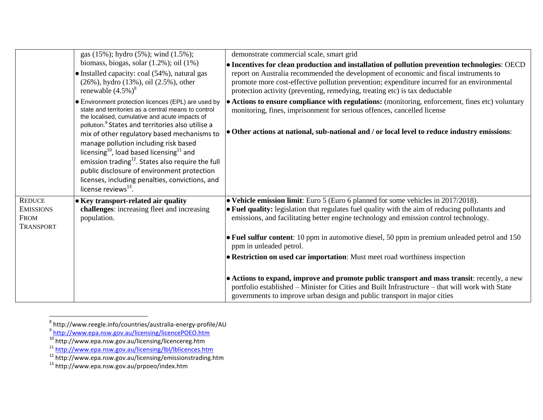|                                                                      | gas (15%); hydro (5%); wind (1.5%);                                                                                                                                                                                                                                                                                                                                                                                                                                                                                                                                                             | demonstrate commercial scale, smart grid                                                                                                                                                                                                                                                                                                                             |
|----------------------------------------------------------------------|-------------------------------------------------------------------------------------------------------------------------------------------------------------------------------------------------------------------------------------------------------------------------------------------------------------------------------------------------------------------------------------------------------------------------------------------------------------------------------------------------------------------------------------------------------------------------------------------------|----------------------------------------------------------------------------------------------------------------------------------------------------------------------------------------------------------------------------------------------------------------------------------------------------------------------------------------------------------------------|
|                                                                      | biomass, biogas, solar $(1.2\%)$ ; oil $(1\%)$<br>• Installed capacity: coal (54%), natural gas<br>(26%), hydro (13%), oil (2.5%), other<br>renewable $(4.5\%)^8$                                                                                                                                                                                                                                                                                                                                                                                                                               | • Incentives for clean production and installation of pollution prevention technologies: OECD<br>report on Australia recommended the development of economic and fiscal instruments to<br>promote more cost-effective pollution prevention; expenditure incurred for an environmental<br>protection activity (preventing, remedying, treating etc) is tax deductable |
|                                                                      | • Environment protection licences (EPL) are used by<br>state and territories as a central means to control<br>the localised, cumulative and acute impacts of<br>pollution. <sup>9</sup> States and territories also utilise a<br>mix of other regulatory based mechanisms to<br>manage pollution including risk based<br>licensing <sup>10</sup> , load based licensing <sup>11</sup> and<br>emission trading <sup>12</sup> . States also require the full<br>public disclosure of environment protection<br>licenses, including penalties, convictions, and<br>license reviews <sup>13</sup> . | • Actions to ensure compliance with regulations: (monitoring, enforcement, fines etc) voluntary<br>monitoring, fines, imprisonment for serious offences, cancelled license<br>• Other actions at national, sub-national and / or local level to reduce industry emissions:                                                                                           |
| <b>REDUCE</b><br><b>EMISSIONS</b><br><b>FROM</b><br><b>TRANSPORT</b> | • Key transport-related air quality<br>challenges: increasing fleet and increasing<br>population.                                                                                                                                                                                                                                                                                                                                                                                                                                                                                               | • Vehicle emission limit: Euro 5 (Euro 6 planned for some vehicles in 2017/2018).<br>• Fuel quality: legislation that regulates fuel quality with the aim of reducing pollutants and<br>emissions, and facilitating better engine technology and emission control technology.                                                                                        |
|                                                                      |                                                                                                                                                                                                                                                                                                                                                                                                                                                                                                                                                                                                 | • Fuel sulfur content: 10 ppm in automotive diesel, 50 ppm in premium unleaded petrol and 150<br>ppm in unleaded petrol.                                                                                                                                                                                                                                             |
|                                                                      |                                                                                                                                                                                                                                                                                                                                                                                                                                                                                                                                                                                                 | • Restriction on used car importation: Must meet road worthiness inspection                                                                                                                                                                                                                                                                                          |
|                                                                      |                                                                                                                                                                                                                                                                                                                                                                                                                                                                                                                                                                                                 | • Actions to expand, improve and promote public transport and mass transit: recently, a new<br>portfolio established - Minister for Cities and Built Infrastructure - that will work with State<br>governments to improve urban design and public transport in major cities                                                                                          |

<sup>8&</sup>lt;br>8 http://www.reegle.info/countries/australia-energy-profile/AU<br>9 <u><http://www.epa.nsw.gov.au/licensing/licencePOEO.htm></u>

<sup>&</sup>lt;sup>10</sup> http://www.epa.nsw.gov.au/licensing/licencereg.htm

<sup>&</sup>lt;sup>11</sup> <http://www.epa.nsw.gov.au/licensing/lbl/lblicences.htm>

<sup>&</sup>lt;sup>12</sup> http://www.epa.nsw.gov.au/licensing/emissionstrading.htm

<sup>&</sup>lt;sup>13</sup> http://www.epa.nsw.gov.au/prpoeo/index.htm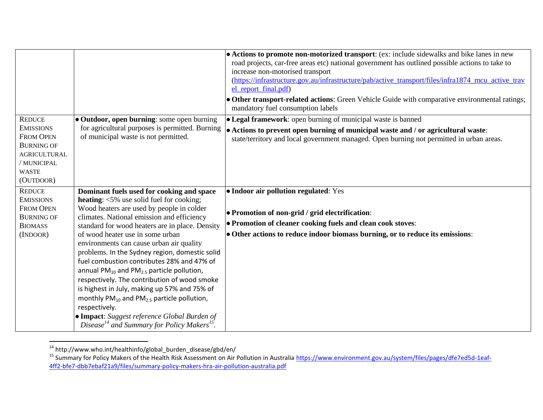|                                                                                                                                               |                                                                                                                                                                                                                                                                                                                                                                                                                                                                                                                                                                                                                                                                                                                                                                                             | • Actions to promote non-motorized transport: (ex: include sidewalks and bike lanes in new<br>road projects, car-free areas etc) national government has outlined possible actions to take to<br>increase non-motorised transport<br>(https://infrastructure.gov.au/infrastructure/pab/active_transport/files/infra1874_mcu_active_trav<br>el_report_final.pdf)<br>• Other transport-related actions: Green Vehicle Guide with comparative environmental ratings;<br>mandatory fuel consumption labels |
|-----------------------------------------------------------------------------------------------------------------------------------------------|---------------------------------------------------------------------------------------------------------------------------------------------------------------------------------------------------------------------------------------------------------------------------------------------------------------------------------------------------------------------------------------------------------------------------------------------------------------------------------------------------------------------------------------------------------------------------------------------------------------------------------------------------------------------------------------------------------------------------------------------------------------------------------------------|--------------------------------------------------------------------------------------------------------------------------------------------------------------------------------------------------------------------------------------------------------------------------------------------------------------------------------------------------------------------------------------------------------------------------------------------------------------------------------------------------------|
| <b>REDUCE</b><br><b>EMISSIONS</b><br><b>FROM OPEN</b><br><b>BURNING OF</b><br><b>AGRICULTURAL</b><br>/ MUNICIPAL<br><b>WASTE</b><br>(OUTDOOR) | • Outdoor, open burning: some open burning<br>for agricultural purposes is permitted. Burning<br>of municipal waste is not permitted.                                                                                                                                                                                                                                                                                                                                                                                                                                                                                                                                                                                                                                                       | • Legal framework: open burning of municipal waste is banned<br>• Actions to prevent open burning of municipal waste and / or agricultural waste:<br>state/territory and local government managed. Open burning not permitted in urban areas.                                                                                                                                                                                                                                                          |
| <b>REDUCE</b><br><b>EMISSIONS</b><br><b>FROM OPEN</b><br><b>BURNING OF</b><br><b>BIOMASS</b><br>(INDOOR)                                      | Dominant fuels used for cooking and space<br><b>heating:</b> $\langle 5\%$ use solid fuel for cooking;<br>Wood heaters are used by people in colder<br>climates. National emission and efficiency<br>standard for wood heaters are in place. Density<br>of wood heater use in some urban<br>environments can cause urban air quality<br>problems. In the Sydney region, domestic solid<br>fuel combustion contributes 28% and 47% of<br>annual $PM_{10}$ and $PM_{2.5}$ particle pollution,<br>respectively. The contribution of wood smoke<br>is highest in July, making up 57% and 75% of<br>monthly $PM_{10}$ and $PM_{2.5}$ particle pollution,<br>respectively.<br>• Impact: Suggest reference Global Burden of<br>Disease <sup>14</sup> and Summary for Policy Makers <sup>15</sup> . | • Indoor air pollution regulated: Yes<br>• Promotion of non-grid / grid electrification:<br>• Promotion of cleaner cooking fuels and clean cook stoves:<br>• Other actions to reduce indoor biomass burning, or to reduce its emissions:                                                                                                                                                                                                                                                               |

<sup>&</sup>lt;sup>14</sup> http://www.who.int/healthinfo/global\_burden\_disease/gbd/en/

 $\overline{a}$ 

<sup>&</sup>lt;sup>15</sup> Summary for Policy Makers of the Health Risk Assessment on Air Pollution in Australia [https://www.environment.gov.au/system/files/pages/dfe7ed5d-1eaf-](https://www.environment.gov.au/system/files/pages/dfe7ed5d-1eaf-4ff2-bfe7-dbb7ebaf21a9/files/summary-policy-makers-hra-air-pollution-australia.pdf)[4ff2-bfe7-dbb7ebaf21a9/files/summary-policy-makers-hra-air-pollution-australia.pdf](https://www.environment.gov.au/system/files/pages/dfe7ed5d-1eaf-4ff2-bfe7-dbb7ebaf21a9/files/summary-policy-makers-hra-air-pollution-australia.pdf)